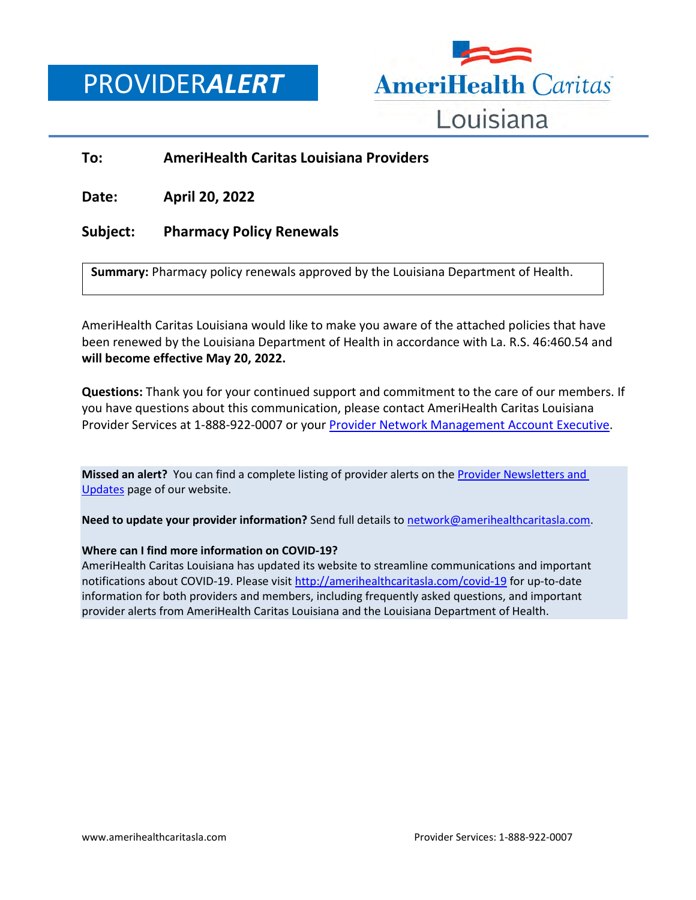PROVIDER*ALERT*



## **To: AmeriHealth Caritas Louisiana Providers**

**Date: April 20, 2022**

## **Subject: Pharmacy Policy Renewals**

**Summary:** Pharmacy policy renewals approved by the Louisiana Department of Health.

AmeriHealth Caritas Louisiana would like to make you aware of the attached policies that have been renewed by the Louisiana Department of Health in accordance with La. R.S. 46:460.54 and **will become effective May 20, 2022.**

**Questions:** Thank you for your continued support and commitment to the care of our members. If you have questions about this communication, please contact AmeriHealth Caritas Louisiana Provider Services at 1-888-922-0007 or you[r Provider Network Management Account Executive.](http://www.amerihealthcaritasla.com/pdf/provider/account-executives.pdf)

**Missed an alert?** You can find a complete listing of provider alerts on th[e Provider Newsletters and](http://amerihealthcaritasla.com/provider/newsletters-and-updates)  [Updates](http://amerihealthcaritasla.com/provider/newsletters-and-updates) page of our website.

**Need to update your provider information?** Send full details to [network@amerihealthcaritasla.com.](file://nasfsu01/LAusers/kf20871/My%20Documents/network@amerihealthcaritasla.com)

## **Where can I find more information on COVID-19?**

AmeriHealth Caritas Louisiana has updated its website to streamline communications and important notifications about COVID-19. Please visit<http://amerihealthcaritasla.com/covid-19> for up-to-date information for both providers and members, including frequently asked questions, and important provider alerts from AmeriHealth Caritas Louisiana and the Louisiana Department of Health.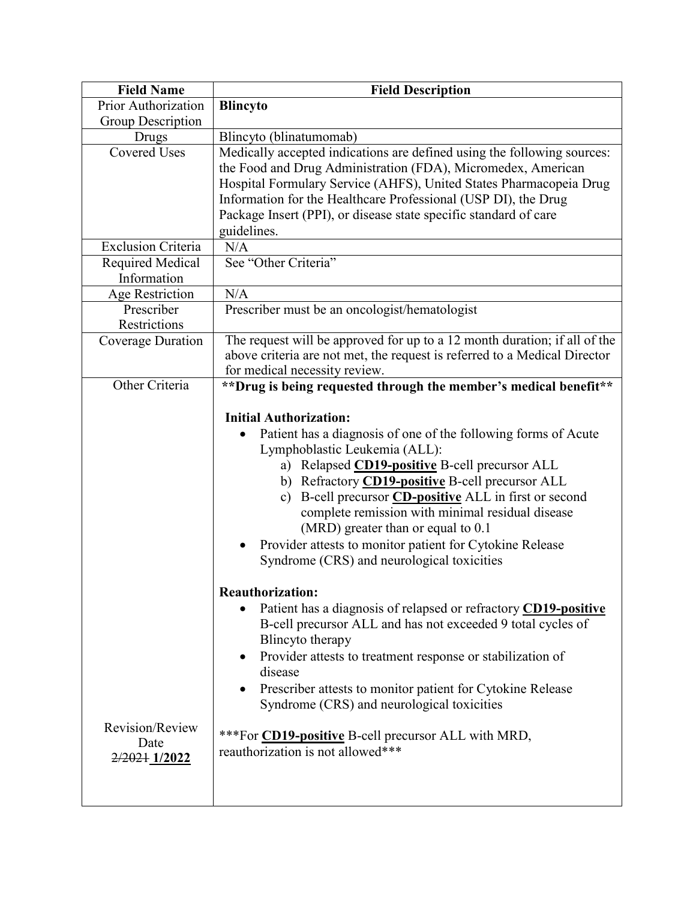| <b>Field Name</b>                        | <b>Field Description</b>                                                                                                                                                                                                                                                                                                                                                                                                                                                                                              |
|------------------------------------------|-----------------------------------------------------------------------------------------------------------------------------------------------------------------------------------------------------------------------------------------------------------------------------------------------------------------------------------------------------------------------------------------------------------------------------------------------------------------------------------------------------------------------|
| Prior Authorization                      | <b>Blincyto</b>                                                                                                                                                                                                                                                                                                                                                                                                                                                                                                       |
| Group Description                        |                                                                                                                                                                                                                                                                                                                                                                                                                                                                                                                       |
| Drugs                                    | Blincyto (blinatumomab)                                                                                                                                                                                                                                                                                                                                                                                                                                                                                               |
| <b>Covered Uses</b>                      | Medically accepted indications are defined using the following sources:<br>the Food and Drug Administration (FDA), Micromedex, American<br>Hospital Formulary Service (AHFS), United States Pharmacopeia Drug<br>Information for the Healthcare Professional (USP DI), the Drug                                                                                                                                                                                                                                       |
|                                          | Package Insert (PPI), or disease state specific standard of care<br>guidelines.                                                                                                                                                                                                                                                                                                                                                                                                                                       |
| <b>Exclusion Criteria</b>                | N/A                                                                                                                                                                                                                                                                                                                                                                                                                                                                                                                   |
| Required Medical<br>Information          | See "Other Criteria"                                                                                                                                                                                                                                                                                                                                                                                                                                                                                                  |
| Age Restriction                          | N/A                                                                                                                                                                                                                                                                                                                                                                                                                                                                                                                   |
| Prescriber<br>Restrictions               | Prescriber must be an oncologist/hematologist                                                                                                                                                                                                                                                                                                                                                                                                                                                                         |
| Coverage Duration                        | The request will be approved for up to a 12 month duration; if all of the<br>above criteria are not met, the request is referred to a Medical Director<br>for medical necessity review.                                                                                                                                                                                                                                                                                                                               |
| Other Criteria                           | ** Drug is being requested through the member's medical benefit**                                                                                                                                                                                                                                                                                                                                                                                                                                                     |
|                                          | <b>Initial Authorization:</b><br>Patient has a diagnosis of one of the following forms of Acute<br>Lymphoblastic Leukemia (ALL):<br>a) Relapsed CD19-positive B-cell precursor ALL<br>b) Refractory <b>CD19-positive</b> B-cell precursor ALL<br>B-cell precursor <b>CD-positive</b> ALL in first or second<br>c)<br>complete remission with minimal residual disease<br>(MRD) greater than or equal to 0.1<br>Provider attests to monitor patient for Cytokine Release<br>Syndrome (CRS) and neurological toxicities |
| Revision/Review<br>Date<br>2/2021 1/2022 | <b>Reauthorization:</b><br>Patient has a diagnosis of relapsed or refractory CD19-positive<br>$\bullet$<br>B-cell precursor ALL and has not exceeded 9 total cycles of<br>Blincyto therapy<br>Provider attests to treatment response or stabilization of<br>$\bullet$<br>disease<br>Prescriber attests to monitor patient for Cytokine Release<br>$\bullet$<br>Syndrome (CRS) and neurological toxicities<br>***For <b>CD19-positive</b> B-cell precursor ALL with MRD,<br>reauthorization is not allowed***          |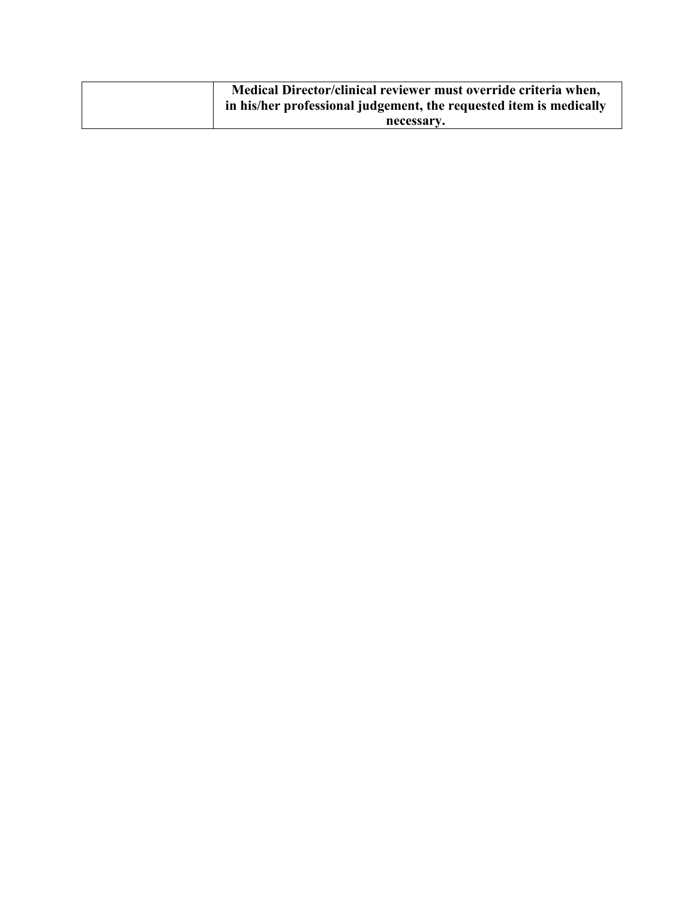| Medical Director/clinical reviewer must override criteria when,<br>in his/her professional judgement, the requested item is medically |
|---------------------------------------------------------------------------------------------------------------------------------------|
| necessary.                                                                                                                            |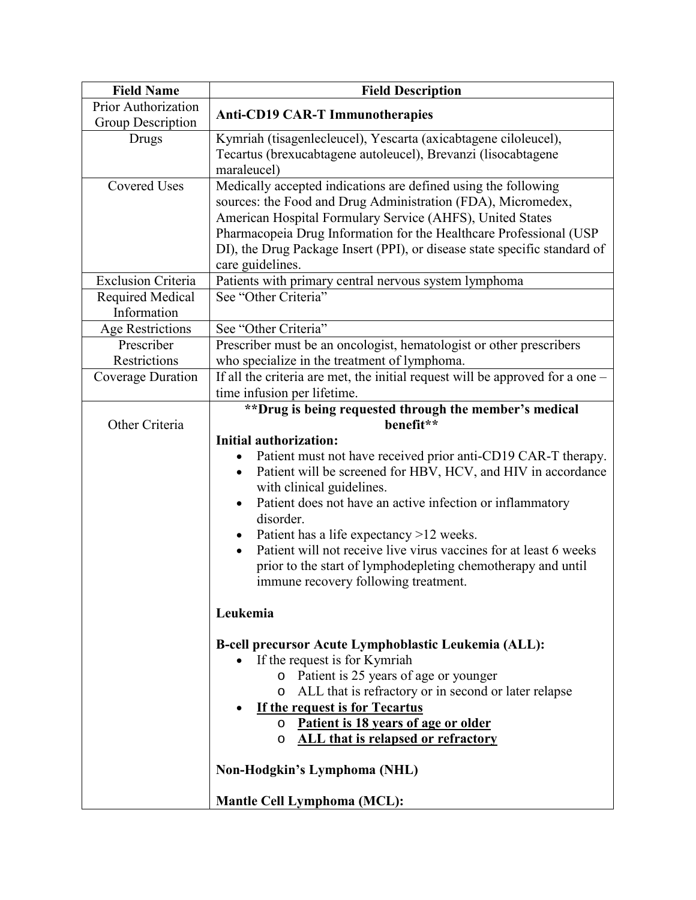| <b>Field Name</b>          | <b>Field Description</b>                                                                                                       |
|----------------------------|--------------------------------------------------------------------------------------------------------------------------------|
| <b>Prior Authorization</b> | <b>Anti-CD19 CAR-T Immunotherapies</b>                                                                                         |
| Group Description          |                                                                                                                                |
| Drugs                      | Kymriah (tisagenlecleucel), Yescarta (axicabtagene ciloleucel),                                                                |
|                            | Tecartus (brexucabtagene autoleucel), Brevanzi (lisocabtagene                                                                  |
| <b>Covered Uses</b>        | maraleucel)                                                                                                                    |
|                            | Medically accepted indications are defined using the following<br>sources: the Food and Drug Administration (FDA), Micromedex, |
|                            | American Hospital Formulary Service (AHFS), United States                                                                      |
|                            | Pharmacopeia Drug Information for the Healthcare Professional (USP                                                             |
|                            | DI), the Drug Package Insert (PPI), or disease state specific standard of                                                      |
|                            | care guidelines.                                                                                                               |
| <b>Exclusion Criteria</b>  | Patients with primary central nervous system lymphoma                                                                          |
| Required Medical           | See "Other Criteria"                                                                                                           |
| Information                |                                                                                                                                |
| <b>Age Restrictions</b>    | See "Other Criteria"                                                                                                           |
| Prescriber                 | Prescriber must be an oncologist, hematologist or other prescribers                                                            |
| Restrictions               | who specialize in the treatment of lymphoma.                                                                                   |
| Coverage Duration          | If all the criteria are met, the initial request will be approved for a one $-$                                                |
|                            | time infusion per lifetime.                                                                                                    |
| Other Criteria             | ** Drug is being requested through the member's medical<br>benefit**                                                           |
|                            | <b>Initial authorization:</b>                                                                                                  |
|                            | Patient must not have received prior anti-CD19 CAR-T therapy.<br>$\bullet$                                                     |
|                            | Patient will be screened for HBV, HCV, and HIV in accordance<br>$\bullet$                                                      |
|                            | with clinical guidelines.                                                                                                      |
|                            | Patient does not have an active infection or inflammatory                                                                      |
|                            | disorder.                                                                                                                      |
|                            | Patient has a life expectancy >12 weeks.                                                                                       |
|                            | Patient will not receive live virus vaccines for at least 6 weeks<br>$\bullet$                                                 |
|                            | prior to the start of lymphodepleting chemotherapy and until                                                                   |
|                            | immune recovery following treatment.                                                                                           |
|                            | Leukemia                                                                                                                       |
|                            |                                                                                                                                |
|                            | B-cell precursor Acute Lymphoblastic Leukemia (ALL):                                                                           |
|                            | If the request is for Kymriah                                                                                                  |
|                            | o Patient is 25 years of age or younger                                                                                        |
|                            | o ALL that is refractory or in second or later relapse                                                                         |
|                            | If the request is for Tecartus                                                                                                 |
|                            | o Patient is 18 years of age or older                                                                                          |
|                            | ALL that is relapsed or refractory<br>$\circ$                                                                                  |
|                            | Non-Hodgkin's Lymphoma (NHL)                                                                                                   |
|                            | <b>Mantle Cell Lymphoma (MCL):</b>                                                                                             |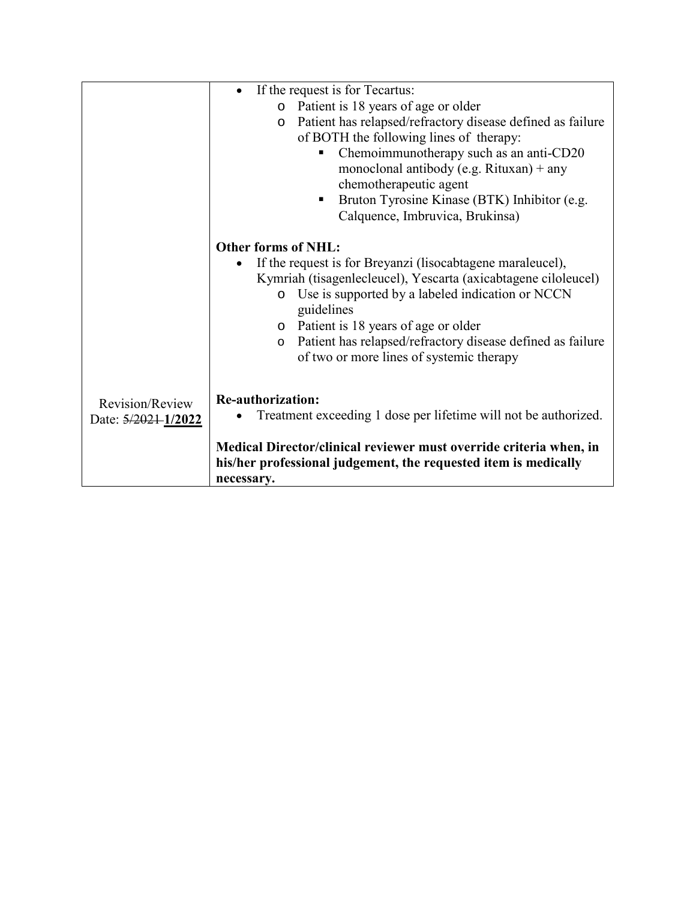|                     | If the request is for Tecartus:                                       |
|---------------------|-----------------------------------------------------------------------|
|                     | Patient is 18 years of age or older<br>$\circ$                        |
|                     | Patient has relapsed/refractory disease defined as failure<br>$\circ$ |
|                     | of BOTH the following lines of therapy:                               |
|                     | Chemoimmunotherapy such as an anti-CD20                               |
|                     | monoclonal antibody (e.g. Rituxan) + any                              |
|                     | chemotherapeutic agent                                                |
|                     | Bruton Tyrosine Kinase (BTK) Inhibitor (e.g.<br>п                     |
|                     | Calquence, Imbruvica, Brukinsa)                                       |
|                     |                                                                       |
|                     | <b>Other forms of NHL:</b>                                            |
|                     | If the request is for Breyanzi (lisocabtagene maraleucel),            |
|                     | Kymriah (tisagenlecleucel), Yescarta (axicabtagene ciloleucel)        |
|                     | Use is supported by a labeled indication or NCCN<br>$\circ$           |
|                     | guidelines                                                            |
|                     | Patient is 18 years of age or older<br>$\circ$                        |
|                     | Patient has relapsed/refractory disease defined as failure<br>$\circ$ |
|                     | of two or more lines of systemic therapy                              |
|                     |                                                                       |
|                     | <b>Re-authorization:</b>                                              |
| Revision/Review     | Treatment exceeding 1 dose per lifetime will not be authorized.       |
| Date: 5/2021-1/2022 |                                                                       |
|                     | Medical Director/clinical reviewer must override criteria when, in    |
|                     | his/her professional judgement, the requested item is medically       |
|                     | necessary.                                                            |
|                     |                                                                       |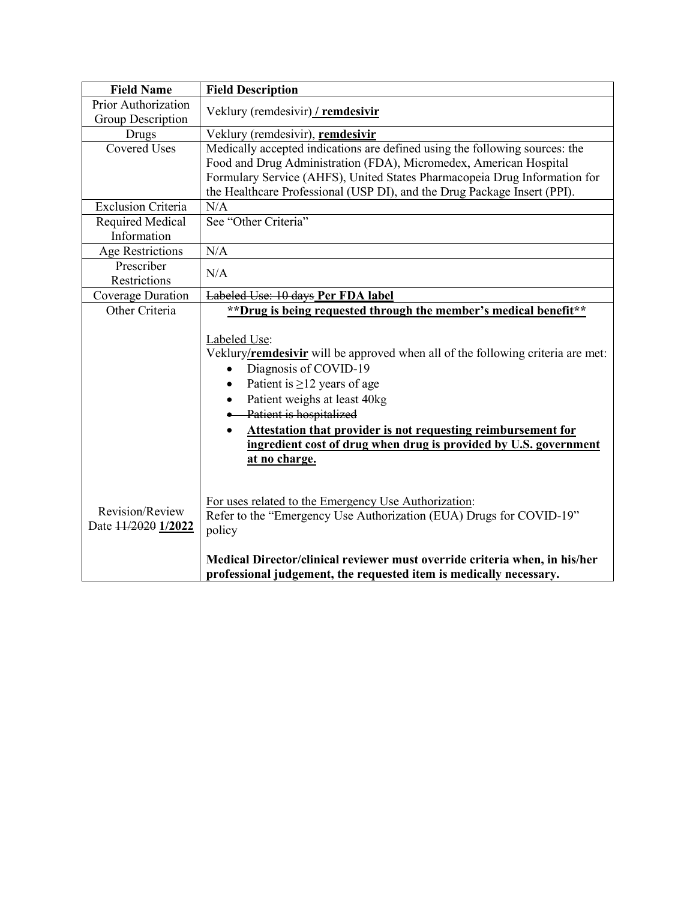| <b>Field Name</b>                      | <b>Field Description</b>                                                                                                                                                                                                                                                                                                                                                                    |
|----------------------------------------|---------------------------------------------------------------------------------------------------------------------------------------------------------------------------------------------------------------------------------------------------------------------------------------------------------------------------------------------------------------------------------------------|
| Prior Authorization                    | Veklury (remdesivir) / remdesivir                                                                                                                                                                                                                                                                                                                                                           |
| Group Description                      |                                                                                                                                                                                                                                                                                                                                                                                             |
| Drugs                                  | Veklury (remdesivir), remdesivir                                                                                                                                                                                                                                                                                                                                                            |
| <b>Covered Uses</b>                    | Medically accepted indications are defined using the following sources: the<br>Food and Drug Administration (FDA), Micromedex, American Hospital<br>Formulary Service (AHFS), United States Pharmacopeia Drug Information for<br>the Healthcare Professional (USP DI), and the Drug Package Insert (PPI).                                                                                   |
| <b>Exclusion Criteria</b>              | N/A                                                                                                                                                                                                                                                                                                                                                                                         |
| Required Medical<br>Information        | See "Other Criteria"                                                                                                                                                                                                                                                                                                                                                                        |
| Age Restrictions                       | N/A                                                                                                                                                                                                                                                                                                                                                                                         |
| Prescriber<br>Restrictions             | N/A                                                                                                                                                                                                                                                                                                                                                                                         |
| Coverage Duration                      | Labeled Use: 10 days Per FDA label                                                                                                                                                                                                                                                                                                                                                          |
| Other Criteria                         | **Drug is being requested through the member's medical benefit**                                                                                                                                                                                                                                                                                                                            |
|                                        | Labeled Use:<br>Veklury/remdesivir will be approved when all of the following criteria are met:<br>Diagnosis of COVID-19<br>Patient is $\geq$ 12 years of age<br>Patient weighs at least 40kg<br>$\bullet$<br>Patient is hospitalized<br>Attestation that provider is not requesting reimbursement for<br>ingredient cost of drug when drug is provided by U.S. government<br>at no charge. |
| Revision/Review<br>Date 11/2020 1/2022 | For uses related to the Emergency Use Authorization:<br>Refer to the "Emergency Use Authorization (EUA) Drugs for COVID-19"<br>policy<br>Medical Director/clinical reviewer must override criteria when, in his/her                                                                                                                                                                         |
|                                        | professional judgement, the requested item is medically necessary.                                                                                                                                                                                                                                                                                                                          |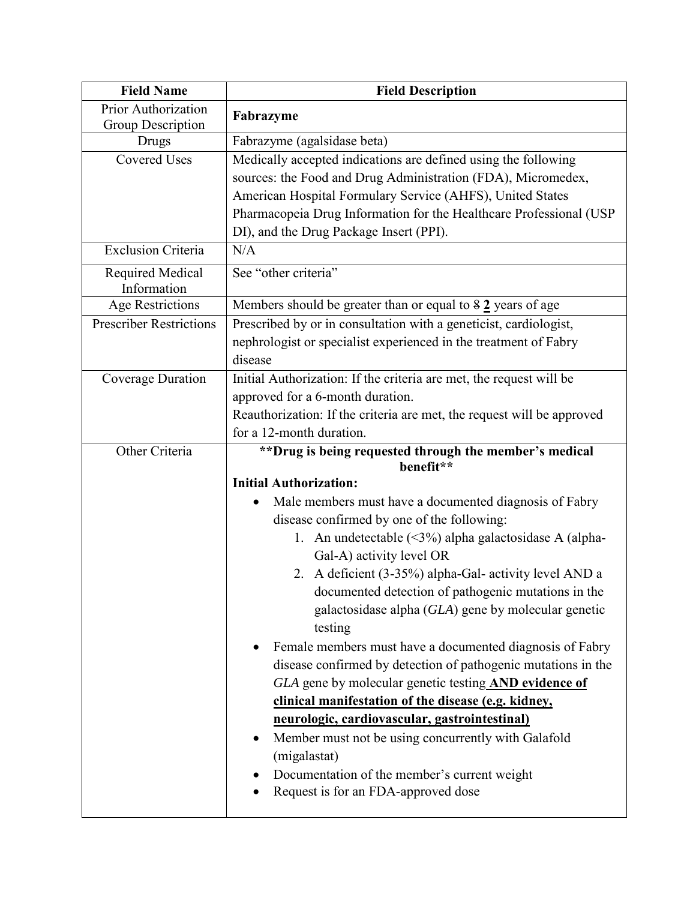| <b>Field Name</b>               | <b>Field Description</b>                                                           |
|---------------------------------|------------------------------------------------------------------------------------|
| <b>Prior Authorization</b>      | Fabrazyme                                                                          |
| Group Description<br>Drugs      | Fabrazyme (agalsidase beta)                                                        |
| <b>Covered Uses</b>             | Medically accepted indications are defined using the following                     |
|                                 | sources: the Food and Drug Administration (FDA), Micromedex,                       |
|                                 | American Hospital Formulary Service (AHFS), United States                          |
|                                 | Pharmacopeia Drug Information for the Healthcare Professional (USP                 |
|                                 | DI), and the Drug Package Insert (PPI).                                            |
| <b>Exclusion Criteria</b>       | N/A                                                                                |
| Required Medical<br>Information | See "other criteria"                                                               |
| <b>Age Restrictions</b>         | Members should be greater than or equal to $82$ years of age                       |
| <b>Prescriber Restrictions</b>  | Prescribed by or in consultation with a geneticist, cardiologist,                  |
|                                 | nephrologist or specialist experienced in the treatment of Fabry                   |
|                                 | disease                                                                            |
| Coverage Duration               | Initial Authorization: If the criteria are met, the request will be                |
|                                 | approved for a 6-month duration.                                                   |
|                                 | Reauthorization: If the criteria are met, the request will be approved             |
|                                 | for a 12-month duration.                                                           |
| Other Criteria                  | **Drug is being requested through the member's medical                             |
|                                 | benefit**                                                                          |
|                                 | <b>Initial Authorization:</b>                                                      |
|                                 | Male members must have a documented diagnosis of Fabry                             |
|                                 | disease confirmed by one of the following:                                         |
|                                 | 1. An undetectable (<3%) alpha galactosidase A (alpha-<br>Gal-A) activity level OR |
|                                 | 2. A deficient (3-35%) alpha-Gal- activity level AND a                             |
|                                 | documented detection of pathogenic mutations in the                                |
|                                 | galactosidase alpha (GLA) gene by molecular genetic                                |
|                                 | testing                                                                            |
|                                 | Female members must have a documented diagnosis of Fabry                           |
|                                 | disease confirmed by detection of pathogenic mutations in the                      |
|                                 | GLA gene by molecular genetic testing AND evidence of                              |
|                                 | clinical manifestation of the disease (e.g. kidney,                                |
|                                 | neurologic, cardiovascular, gastrointestinal)                                      |
|                                 | Member must not be using concurrently with Galafold<br>٠                           |
|                                 | (migalastat)                                                                       |
|                                 | Documentation of the member's current weight                                       |
|                                 | Request is for an FDA-approved dose                                                |
|                                 |                                                                                    |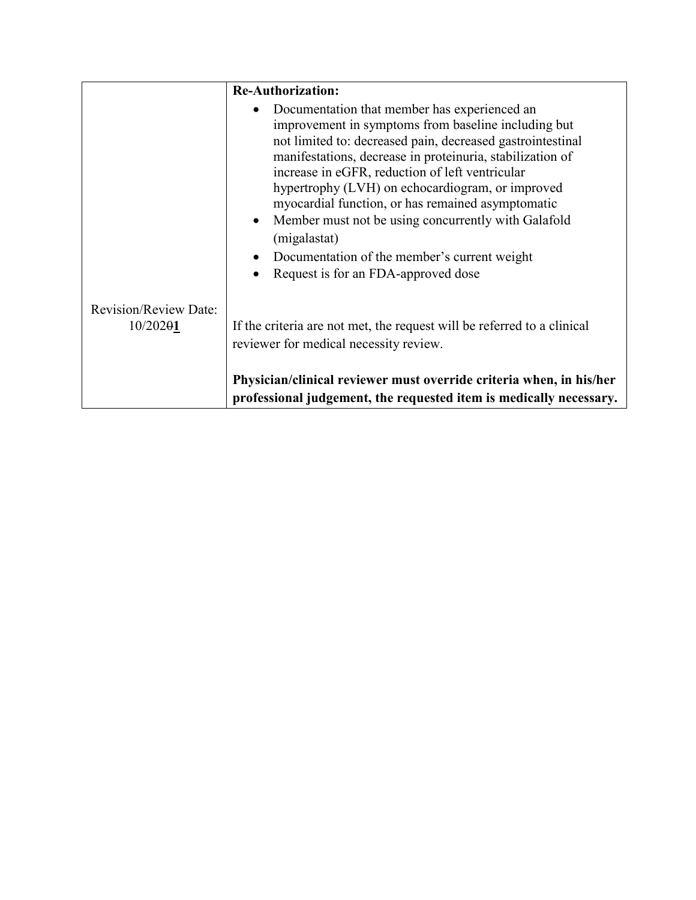|                                          | <b>Re-Authorization:</b>                                                                                                                                                                                                                                                                                                                                                                                                                                                                                                                                 |
|------------------------------------------|----------------------------------------------------------------------------------------------------------------------------------------------------------------------------------------------------------------------------------------------------------------------------------------------------------------------------------------------------------------------------------------------------------------------------------------------------------------------------------------------------------------------------------------------------------|
|                                          | Documentation that member has experienced an<br>improvement in symptoms from baseline including but<br>not limited to: decreased pain, decreased gastrointestinal<br>manifestations, decrease in proteinuria, stabilization of<br>increase in eGFR, reduction of left ventricular<br>hypertrophy (LVH) on echocardiogram, or improved<br>myocardial function, or has remained asymptomatic<br>Member must not be using concurrently with Galafold<br>(migalastat)<br>Documentation of the member's current weight<br>Request is for an FDA-approved dose |
| <b>Revision/Review Date:</b><br>10/20201 | If the criteria are not met, the request will be referred to a clinical<br>reviewer for medical necessity review.<br>Physician/clinical reviewer must override criteria when, in his/her<br>professional judgement, the requested item is medically necessary.                                                                                                                                                                                                                                                                                           |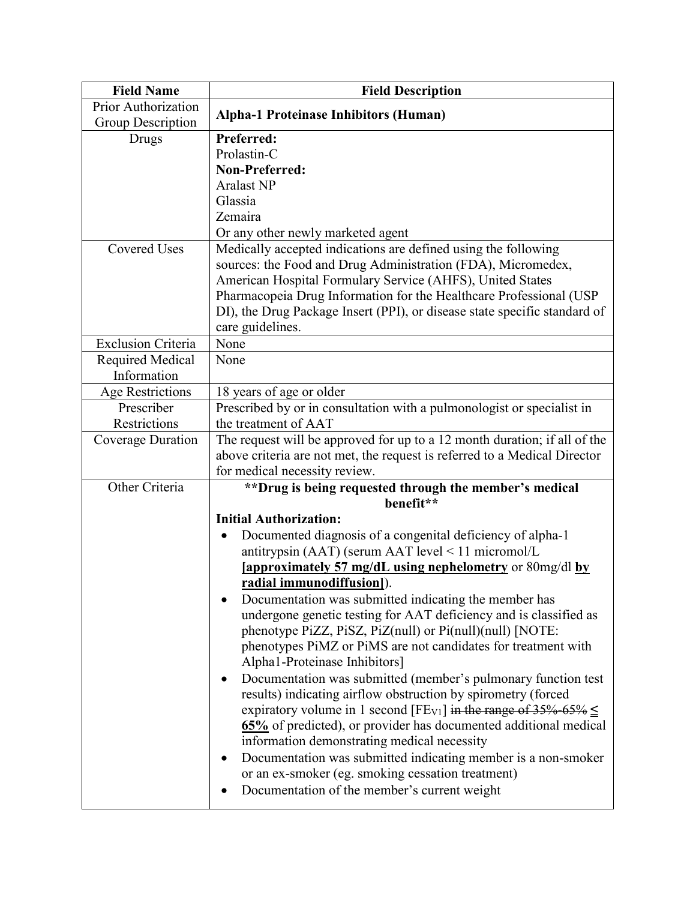| <b>Field Name</b>         | <b>Field Description</b>                                                                                                   |
|---------------------------|----------------------------------------------------------------------------------------------------------------------------|
| Prior Authorization       | <b>Alpha-1 Proteinase Inhibitors (Human)</b>                                                                               |
| Group Description         |                                                                                                                            |
| Drugs                     | Preferred:                                                                                                                 |
|                           | Prolastin-C                                                                                                                |
|                           | <b>Non-Preferred:</b>                                                                                                      |
|                           | <b>Aralast NP</b>                                                                                                          |
|                           | Glassia                                                                                                                    |
|                           | Zemaira                                                                                                                    |
|                           | Or any other newly marketed agent                                                                                          |
| <b>Covered Uses</b>       | Medically accepted indications are defined using the following                                                             |
|                           | sources: the Food and Drug Administration (FDA), Micromedex,                                                               |
|                           | American Hospital Formulary Service (AHFS), United States                                                                  |
|                           | Pharmacopeia Drug Information for the Healthcare Professional (USP                                                         |
|                           | DI), the Drug Package Insert (PPI), or disease state specific standard of                                                  |
|                           | care guidelines.                                                                                                           |
| <b>Exclusion Criteria</b> | None                                                                                                                       |
| Required Medical          | None                                                                                                                       |
| Information               |                                                                                                                            |
| <b>Age Restrictions</b>   | 18 years of age or older                                                                                                   |
| Prescriber                | Prescribed by or in consultation with a pulmonologist or specialist in                                                     |
| Restrictions              | the treatment of AAT                                                                                                       |
| Coverage Duration         | The request will be approved for up to a 12 month duration; if all of the                                                  |
|                           | above criteria are not met, the request is referred to a Medical Director                                                  |
|                           | for medical necessity review.                                                                                              |
| Other Criteria            | **Drug is being requested through the member's medical<br>benefit**                                                        |
|                           | <b>Initial Authorization:</b>                                                                                              |
|                           | Documented diagnosis of a congenital deficiency of alpha-1                                                                 |
|                           | antitrypsin (AAT) (serum AAT level < 11 micromol/L                                                                         |
|                           | [approximately 57 mg/dL using nephelometry or 80mg/dl by                                                                   |
|                           | radial immunodiffusion]).                                                                                                  |
|                           |                                                                                                                            |
|                           | Documentation was submitted indicating the member has<br>undergone genetic testing for AAT deficiency and is classified as |
|                           | phenotype PiZZ, PiSZ, PiZ(null) or Pi(null)(null) [NOTE:                                                                   |
|                           | phenotypes PiMZ or PiMS are not candidates for treatment with                                                              |
|                           | Alpha1-Proteinase Inhibitors]                                                                                              |
|                           | Documentation was submitted (member's pulmonary function test                                                              |
|                           | results) indicating airflow obstruction by spirometry (forced                                                              |
|                           | expiratory volume in 1 second [FE <sub>V1</sub> ] in the range of 35% 65% $\leq$                                           |
|                           | 65% of predicted), or provider has documented additional medical                                                           |
|                           | information demonstrating medical necessity                                                                                |
|                           | Documentation was submitted indicating member is a non-smoker<br>٠                                                         |
|                           | or an ex-smoker (eg. smoking cessation treatment)                                                                          |
|                           |                                                                                                                            |
|                           | Documentation of the member's current weight                                                                               |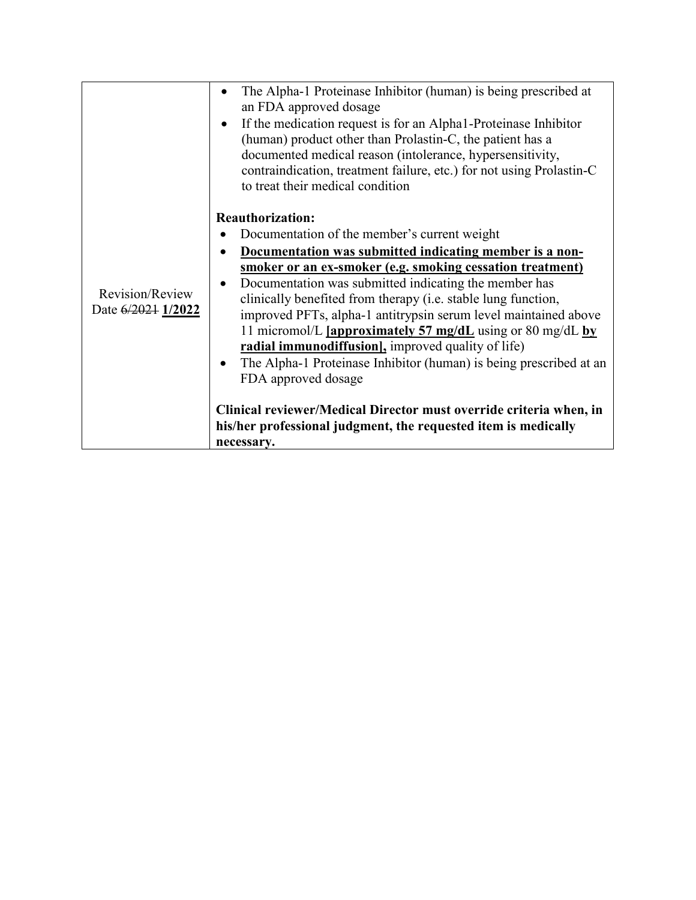|                                       | The Alpha-1 Proteinase Inhibitor (human) is being prescribed at<br>an FDA approved dosage<br>If the medication request is for an Alpha1-Proteinase Inhibitor<br>$\bullet$<br>(human) product other than Prolastin-C, the patient has a<br>documented medical reason (intolerance, hypersensitivity,<br>contraindication, treatment failure, etc.) for not using Prolastin-C<br>to treat their medical condition                                                                                                                                                                                                                                                                                                                                                     |
|---------------------------------------|---------------------------------------------------------------------------------------------------------------------------------------------------------------------------------------------------------------------------------------------------------------------------------------------------------------------------------------------------------------------------------------------------------------------------------------------------------------------------------------------------------------------------------------------------------------------------------------------------------------------------------------------------------------------------------------------------------------------------------------------------------------------|
| Revision/Review<br>Date 6/2021 1/2022 | <b>Reauthorization:</b><br>Documentation of the member's current weight<br>Documentation was submitted indicating member is a non-<br>smoker or an ex-smoker (e.g. smoking cessation treatment)<br>Documentation was submitted indicating the member has<br>clinically benefited from therapy (i.e. stable lung function,<br>improved PFTs, alpha-1 antitrypsin serum level maintained above<br>11 micromol/L [approximately 57 mg/dL using or 80 mg/dL by<br>radial immunodiffusion], improved quality of life)<br>The Alpha-1 Proteinase Inhibitor (human) is being prescribed at an<br>FDA approved dosage<br>Clinical reviewer/Medical Director must override criteria when, in<br>his/her professional judgment, the requested item is medically<br>necessary. |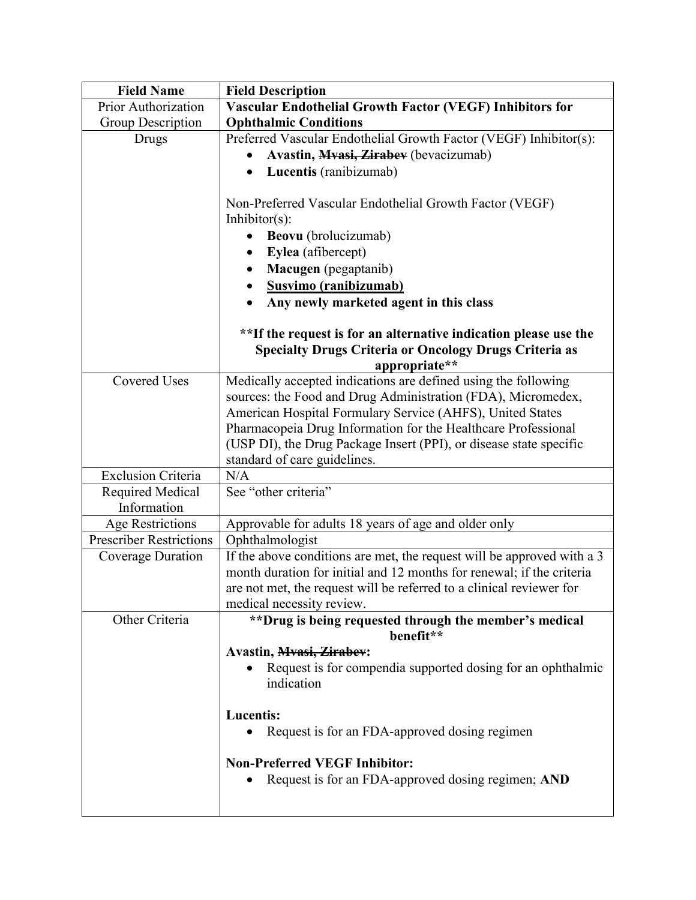| <b>Field Name</b>              | <b>Field Description</b>                                               |
|--------------------------------|------------------------------------------------------------------------|
| Prior Authorization            | <b>Vascular Endothelial Growth Factor (VEGF) Inhibitors for</b>        |
| Group Description              | <b>Ophthalmic Conditions</b>                                           |
| Drugs                          | Preferred Vascular Endothelial Growth Factor (VEGF) Inhibitor(s):      |
|                                | Avastin, Mvasi, Zirabev (bevacizumab)                                  |
|                                | Lucentis (ranibizumab)<br>$\bullet$                                    |
|                                |                                                                        |
|                                | Non-Preferred Vascular Endothelial Growth Factor (VEGF)                |
|                                | Inhibitor $(s)$ :                                                      |
|                                | Beovu (brolucizumab)                                                   |
|                                | Eylea (afibercept)                                                     |
|                                | Macugen (pegaptanib)                                                   |
|                                | Susvimo (ranibizumab)                                                  |
|                                | Any newly marketed agent in this class                                 |
|                                |                                                                        |
|                                | **If the request is for an alternative indication please use the       |
|                                | <b>Specialty Drugs Criteria or Oncology Drugs Criteria as</b>          |
|                                | appropriate**                                                          |
| <b>Covered Uses</b>            | Medically accepted indications are defined using the following         |
|                                | sources: the Food and Drug Administration (FDA), Micromedex,           |
|                                | American Hospital Formulary Service (AHFS), United States              |
|                                | Pharmacopeia Drug Information for the Healthcare Professional          |
|                                | (USP DI), the Drug Package Insert (PPI), or disease state specific     |
|                                | standard of care guidelines.                                           |
| <b>Exclusion Criteria</b>      | N/A                                                                    |
| Required Medical               | See "other criteria"                                                   |
| Information                    |                                                                        |
| <b>Age Restrictions</b>        | Approvable for adults 18 years of age and older only                   |
| <b>Prescriber Restrictions</b> | Ophthalmologist                                                        |
| Coverage Duration              | If the above conditions are met, the request will be approved with a 3 |
|                                | month duration for initial and 12 months for renewal; if the criteria  |
|                                | are not met, the request will be referred to a clinical reviewer for   |
|                                | medical necessity review.                                              |
| Other Criteria                 | **Drug is being requested through the member's medical                 |
|                                | benefit**                                                              |
|                                | <b>Avastin</b> , <b>Mvasi</b> , <i>Zirabev</i> :                       |
|                                | Request is for compendia supported dosing for an ophthalmic            |
|                                | indication                                                             |
|                                |                                                                        |
|                                | <b>Lucentis:</b>                                                       |
|                                | Request is for an FDA-approved dosing regimen                          |
|                                | <b>Non-Preferred VEGF Inhibitor:</b>                                   |
|                                | Request is for an FDA-approved dosing regimen; AND                     |
|                                |                                                                        |
|                                |                                                                        |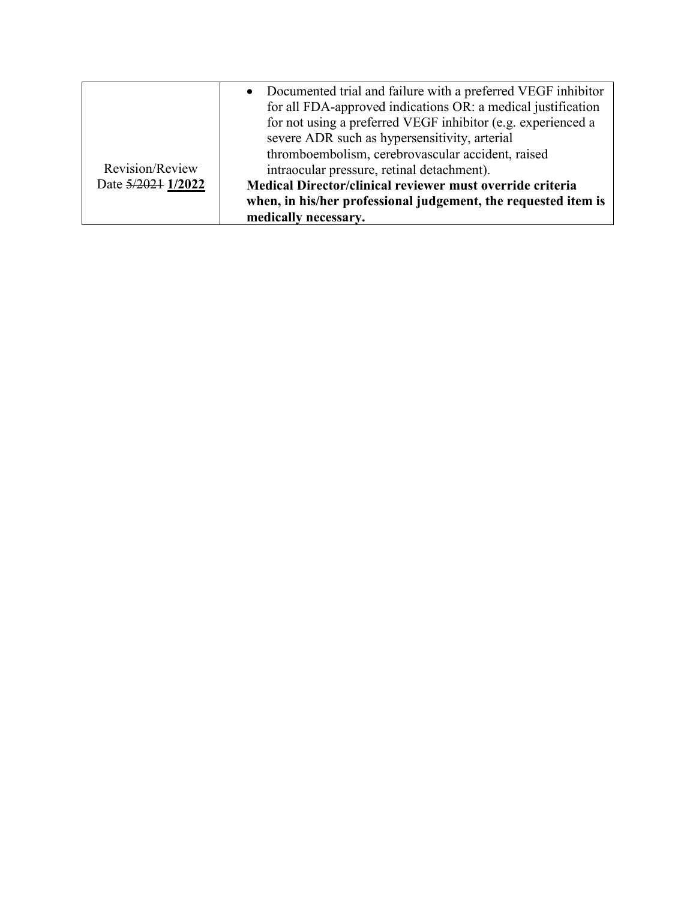|                    | • Documented trial and failure with a preferred VEGF inhibitor |
|--------------------|----------------------------------------------------------------|
|                    | for all FDA-approved indications OR: a medical justification   |
|                    | for not using a preferred VEGF inhibitor (e.g. experienced a   |
|                    | severe ADR such as hypersensitivity, arterial                  |
|                    | thromboembolism, cerebrovascular accident, raised              |
| Revision/Review    | intraocular pressure, retinal detachment).                     |
| Date 5/2021 1/2022 | Medical Director/clinical reviewer must override criteria      |
|                    | when, in his/her professional judgement, the requested item is |
|                    | medically necessary.                                           |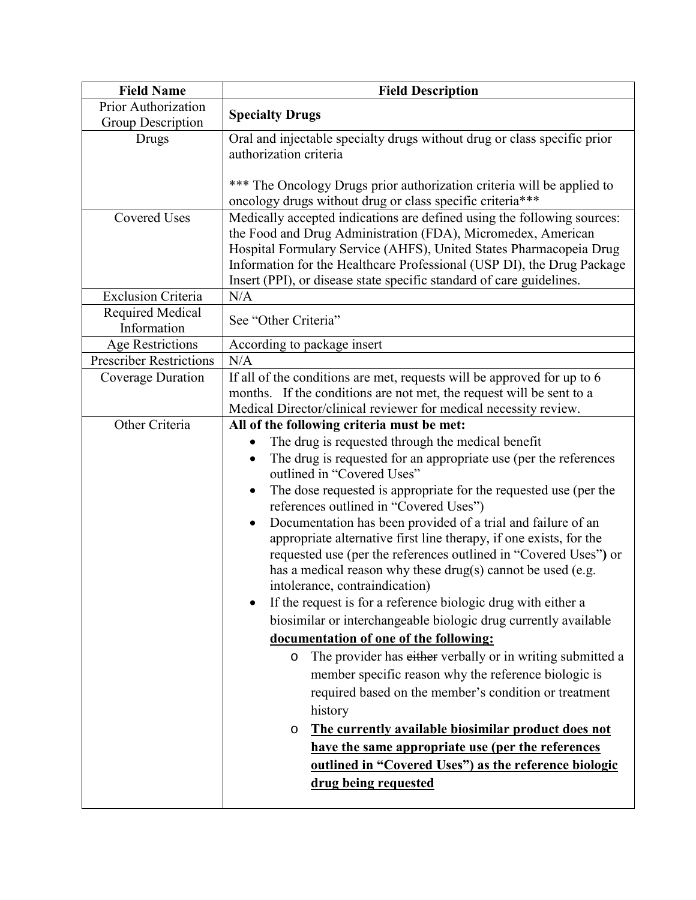| <b>Field Name</b>                        | <b>Field Description</b>                                                                                                                                                                                                                                                                                                                                                                                                                                                                                                                                                                                                                                                                                                                                                                                                                                                                                                                                                                                                                                                                                                                                                                    |
|------------------------------------------|---------------------------------------------------------------------------------------------------------------------------------------------------------------------------------------------------------------------------------------------------------------------------------------------------------------------------------------------------------------------------------------------------------------------------------------------------------------------------------------------------------------------------------------------------------------------------------------------------------------------------------------------------------------------------------------------------------------------------------------------------------------------------------------------------------------------------------------------------------------------------------------------------------------------------------------------------------------------------------------------------------------------------------------------------------------------------------------------------------------------------------------------------------------------------------------------|
| Prior Authorization<br>Group Description | <b>Specialty Drugs</b>                                                                                                                                                                                                                                                                                                                                                                                                                                                                                                                                                                                                                                                                                                                                                                                                                                                                                                                                                                                                                                                                                                                                                                      |
| Drugs                                    | Oral and injectable specialty drugs without drug or class specific prior<br>authorization criteria<br>*** The Oncology Drugs prior authorization criteria will be applied to<br>oncology drugs without drug or class specific criteria***                                                                                                                                                                                                                                                                                                                                                                                                                                                                                                                                                                                                                                                                                                                                                                                                                                                                                                                                                   |
| <b>Covered Uses</b>                      | Medically accepted indications are defined using the following sources:<br>the Food and Drug Administration (FDA), Micromedex, American<br>Hospital Formulary Service (AHFS), United States Pharmacopeia Drug<br>Information for the Healthcare Professional (USP DI), the Drug Package<br>Insert (PPI), or disease state specific standard of care guidelines.                                                                                                                                                                                                                                                                                                                                                                                                                                                                                                                                                                                                                                                                                                                                                                                                                             |
| <b>Exclusion Criteria</b>                | N/A                                                                                                                                                                                                                                                                                                                                                                                                                                                                                                                                                                                                                                                                                                                                                                                                                                                                                                                                                                                                                                                                                                                                                                                         |
| Required Medical<br>Information          | See "Other Criteria"                                                                                                                                                                                                                                                                                                                                                                                                                                                                                                                                                                                                                                                                                                                                                                                                                                                                                                                                                                                                                                                                                                                                                                        |
| <b>Age Restrictions</b>                  | According to package insert                                                                                                                                                                                                                                                                                                                                                                                                                                                                                                                                                                                                                                                                                                                                                                                                                                                                                                                                                                                                                                                                                                                                                                 |
| <b>Prescriber Restrictions</b>           | N/A                                                                                                                                                                                                                                                                                                                                                                                                                                                                                                                                                                                                                                                                                                                                                                                                                                                                                                                                                                                                                                                                                                                                                                                         |
| Coverage Duration                        | If all of the conditions are met, requests will be approved for up to 6<br>months. If the conditions are not met, the request will be sent to a<br>Medical Director/clinical reviewer for medical necessity review.                                                                                                                                                                                                                                                                                                                                                                                                                                                                                                                                                                                                                                                                                                                                                                                                                                                                                                                                                                         |
| Other Criteria                           | All of the following criteria must be met:                                                                                                                                                                                                                                                                                                                                                                                                                                                                                                                                                                                                                                                                                                                                                                                                                                                                                                                                                                                                                                                                                                                                                  |
|                                          | The drug is requested through the medical benefit<br>The drug is requested for an appropriate use (per the references<br>$\bullet$<br>outlined in "Covered Uses"<br>The dose requested is appropriate for the requested use (per the<br>$\bullet$<br>references outlined in "Covered Uses")<br>Documentation has been provided of a trial and failure of an<br>appropriate alternative first line therapy, if one exists, for the<br>requested use (per the references outlined in "Covered Uses") or<br>has a medical reason why these drug(s) cannot be used (e.g.<br>intolerance, contraindication)<br>If the request is for a reference biologic drug with either a<br>biosimilar or interchangeable biologic drug currently available<br>documentation of one of the following:<br>The provider has either verbally or in writing submitted a<br>$\circ$<br>member specific reason why the reference biologic is<br>required based on the member's condition or treatment<br>history<br>The currently available biosimilar product does not<br>O<br>have the same appropriate use (per the references<br>outlined in "Covered Uses") as the reference biologic<br>drug being requested |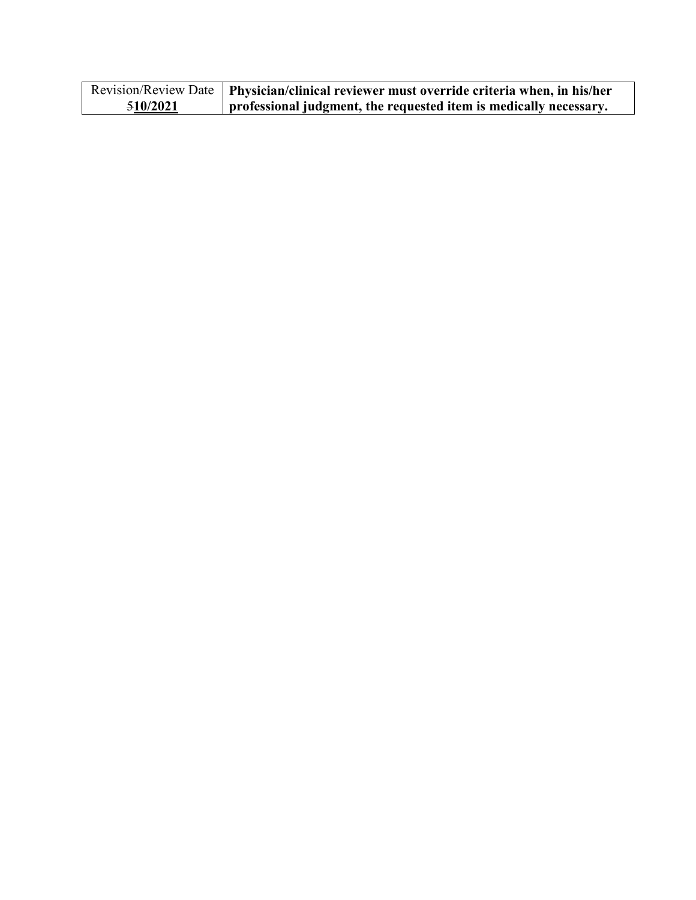|          | Revision/Review Date   Physician/clinical reviewer must override criteria when, in his/her |
|----------|--------------------------------------------------------------------------------------------|
| 510/2021 | professional judgment, the requested item is medically necessary.                          |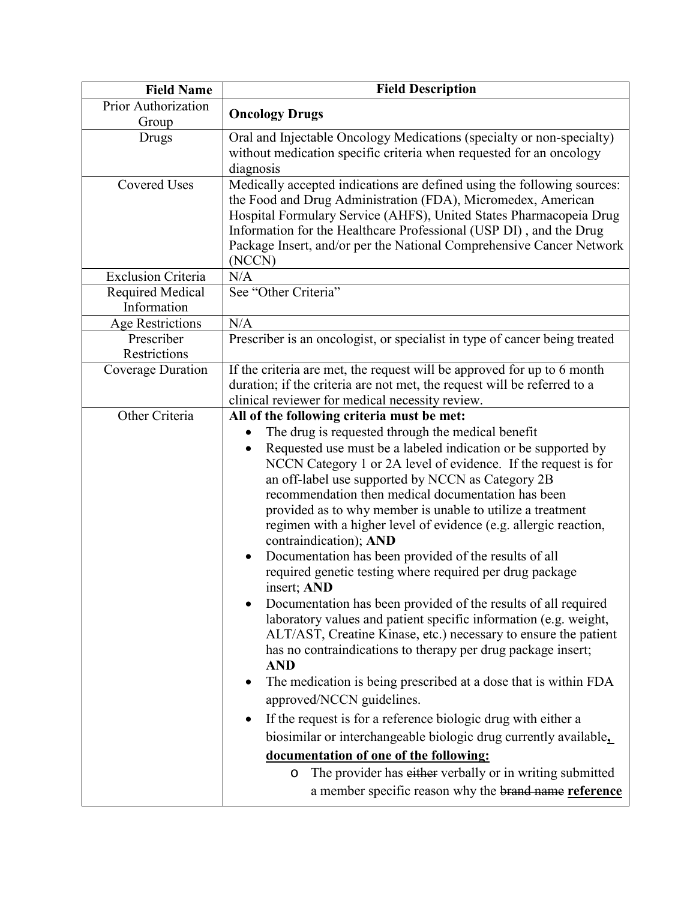| <b>Field Name</b>               | <b>Field Description</b>                                                                                                                                                                                                                                                                                                                                                                                                                                                                                                                                                                                                                                                                                                                                                                                                                                                                                                                                                                                                                                                                                                                                                                                                                                                                                                                                         |
|---------------------------------|------------------------------------------------------------------------------------------------------------------------------------------------------------------------------------------------------------------------------------------------------------------------------------------------------------------------------------------------------------------------------------------------------------------------------------------------------------------------------------------------------------------------------------------------------------------------------------------------------------------------------------------------------------------------------------------------------------------------------------------------------------------------------------------------------------------------------------------------------------------------------------------------------------------------------------------------------------------------------------------------------------------------------------------------------------------------------------------------------------------------------------------------------------------------------------------------------------------------------------------------------------------------------------------------------------------------------------------------------------------|
| Prior Authorization<br>Group    | <b>Oncology Drugs</b>                                                                                                                                                                                                                                                                                                                                                                                                                                                                                                                                                                                                                                                                                                                                                                                                                                                                                                                                                                                                                                                                                                                                                                                                                                                                                                                                            |
| Drugs                           | Oral and Injectable Oncology Medications (specialty or non-specialty)<br>without medication specific criteria when requested for an oncology<br>diagnosis                                                                                                                                                                                                                                                                                                                                                                                                                                                                                                                                                                                                                                                                                                                                                                                                                                                                                                                                                                                                                                                                                                                                                                                                        |
| <b>Covered Uses</b>             | Medically accepted indications are defined using the following sources:<br>the Food and Drug Administration (FDA), Micromedex, American<br>Hospital Formulary Service (AHFS), United States Pharmacopeia Drug<br>Information for the Healthcare Professional (USP DI), and the Drug<br>Package Insert, and/or per the National Comprehensive Cancer Network<br>(NCCN)                                                                                                                                                                                                                                                                                                                                                                                                                                                                                                                                                                                                                                                                                                                                                                                                                                                                                                                                                                                            |
| <b>Exclusion Criteria</b>       | N/A                                                                                                                                                                                                                                                                                                                                                                                                                                                                                                                                                                                                                                                                                                                                                                                                                                                                                                                                                                                                                                                                                                                                                                                                                                                                                                                                                              |
| Required Medical<br>Information | See "Other Criteria"                                                                                                                                                                                                                                                                                                                                                                                                                                                                                                                                                                                                                                                                                                                                                                                                                                                                                                                                                                                                                                                                                                                                                                                                                                                                                                                                             |
| Age Restrictions                | N/A                                                                                                                                                                                                                                                                                                                                                                                                                                                                                                                                                                                                                                                                                                                                                                                                                                                                                                                                                                                                                                                                                                                                                                                                                                                                                                                                                              |
| Prescriber<br>Restrictions      | Prescriber is an oncologist, or specialist in type of cancer being treated                                                                                                                                                                                                                                                                                                                                                                                                                                                                                                                                                                                                                                                                                                                                                                                                                                                                                                                                                                                                                                                                                                                                                                                                                                                                                       |
| Coverage Duration               | If the criteria are met, the request will be approved for up to 6 month<br>duration; if the criteria are not met, the request will be referred to a<br>clinical reviewer for medical necessity review.                                                                                                                                                                                                                                                                                                                                                                                                                                                                                                                                                                                                                                                                                                                                                                                                                                                                                                                                                                                                                                                                                                                                                           |
| Other Criteria                  | All of the following criteria must be met:<br>The drug is requested through the medical benefit<br>Requested use must be a labeled indication or be supported by<br>NCCN Category 1 or 2A level of evidence. If the request is for<br>an off-label use supported by NCCN as Category 2B<br>recommendation then medical documentation has been<br>provided as to why member is unable to utilize a treatment<br>regimen with a higher level of evidence (e.g. allergic reaction,<br>contraindication); AND<br>Documentation has been provided of the results of all<br>$\bullet$<br>required genetic testing where required per drug package<br>insert; AND<br>Documentation has been provided of the results of all required<br>laboratory values and patient specific information (e.g. weight,<br>ALT/AST, Creatine Kinase, etc.) necessary to ensure the patient<br>has no contraindications to therapy per drug package insert;<br><b>AND</b><br>The medication is being prescribed at a dose that is within FDA<br>approved/NCCN guidelines.<br>If the request is for a reference biologic drug with either a<br>biosimilar or interchangeable biologic drug currently available,<br>documentation of one of the following:<br>The provider has either verbally or in writing submitted<br>$\circ$<br>a member specific reason why the brand name reference |